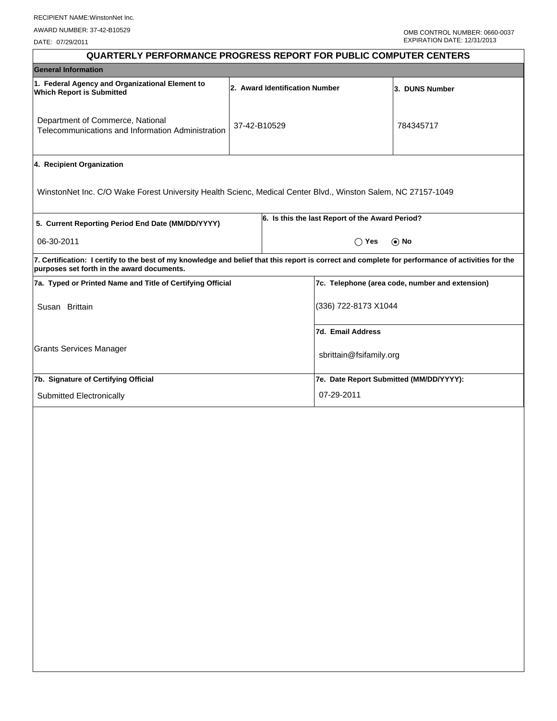DATE: 07/29/2011

| <b>QUARTERLY PERFORMANCE PROGRESS REPORT FOR PUBLIC COMPUTER CENTERS</b> |  |                         |                                                                                                                                                                                                                                                                                                                                                                                                                        |  |  |  |
|--------------------------------------------------------------------------|--|-------------------------|------------------------------------------------------------------------------------------------------------------------------------------------------------------------------------------------------------------------------------------------------------------------------------------------------------------------------------------------------------------------------------------------------------------------|--|--|--|
| <b>General Information</b>                                               |  |                         |                                                                                                                                                                                                                                                                                                                                                                                                                        |  |  |  |
|                                                                          |  |                         | 3. DUNS Number                                                                                                                                                                                                                                                                                                                                                                                                         |  |  |  |
| Telecommunications and Information Administration                        |  |                         | 784345717                                                                                                                                                                                                                                                                                                                                                                                                              |  |  |  |
|                                                                          |  |                         |                                                                                                                                                                                                                                                                                                                                                                                                                        |  |  |  |
|                                                                          |  |                         |                                                                                                                                                                                                                                                                                                                                                                                                                        |  |  |  |
|                                                                          |  |                         |                                                                                                                                                                                                                                                                                                                                                                                                                        |  |  |  |
|                                                                          |  | $\odot$ No<br>$()$ Yes  |                                                                                                                                                                                                                                                                                                                                                                                                                        |  |  |  |
|                                                                          |  |                         |                                                                                                                                                                                                                                                                                                                                                                                                                        |  |  |  |
| 7a. Typed or Printed Name and Title of Certifying Official               |  |                         | 7c. Telephone (area code, number and extension)                                                                                                                                                                                                                                                                                                                                                                        |  |  |  |
| Susan Brittain                                                           |  |                         | (336) 722-8173 X1044                                                                                                                                                                                                                                                                                                                                                                                                   |  |  |  |
|                                                                          |  |                         |                                                                                                                                                                                                                                                                                                                                                                                                                        |  |  |  |
|                                                                          |  | sbrittain@fsifamily.org |                                                                                                                                                                                                                                                                                                                                                                                                                        |  |  |  |
|                                                                          |  |                         |                                                                                                                                                                                                                                                                                                                                                                                                                        |  |  |  |
|                                                                          |  | 07-29-2011              |                                                                                                                                                                                                                                                                                                                                                                                                                        |  |  |  |
|                                                                          |  |                         |                                                                                                                                                                                                                                                                                                                                                                                                                        |  |  |  |
|                                                                          |  |                         |                                                                                                                                                                                                                                                                                                                                                                                                                        |  |  |  |
|                                                                          |  |                         |                                                                                                                                                                                                                                                                                                                                                                                                                        |  |  |  |
|                                                                          |  |                         |                                                                                                                                                                                                                                                                                                                                                                                                                        |  |  |  |
|                                                                          |  |                         |                                                                                                                                                                                                                                                                                                                                                                                                                        |  |  |  |
|                                                                          |  |                         |                                                                                                                                                                                                                                                                                                                                                                                                                        |  |  |  |
|                                                                          |  | 37-42-B10529            | 2. Award Identification Number<br>WinstonNet Inc. C/O Wake Forest University Health Scienc, Medical Center Blvd., Winston Salem, NC 27157-1049<br>6. Is this the last Report of the Award Period?<br>7. Certification: I certify to the best of my knowledge and belief that this report is correct and complete for performance of activities for the<br>7d. Email Address<br>7e. Date Report Submitted (MM/DD/YYYY): |  |  |  |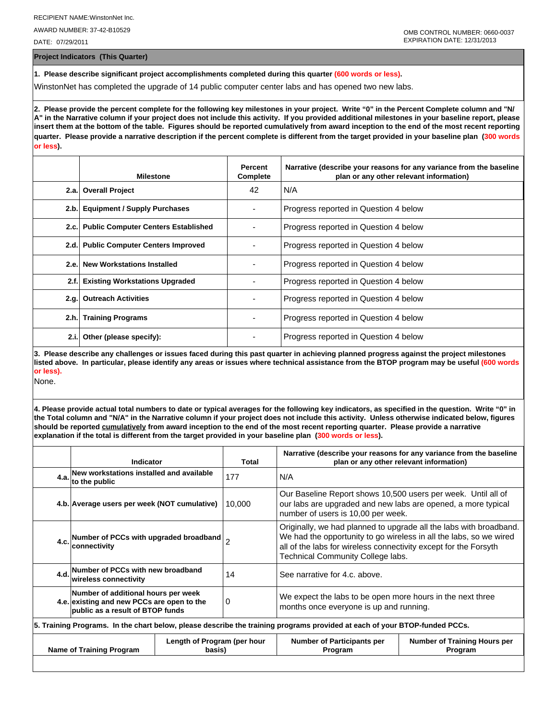AWARD NUMBER: 37-42-B10529

DATE: 07/29/2011

**Project Indicators (This Quarter)**

**1. Please describe significant project accomplishments completed during this quarter (600 words or less).**

WinstonNet has completed the upgrade of 14 public computer center labs and has opened two new labs.

**2. Please provide the percent complete for the following key milestones in your project. Write "0" in the Percent Complete column and "N/ A" in the Narrative column if your project does not include this activity. If you provided additional milestones in your baseline report, please insert them at the bottom of the table. Figures should be reported cumulatively from award inception to the end of the most recent reporting quarter. Please provide a narrative description if the percent complete is different from the target provided in your baseline plan (300 words or less).**

|       | <b>Milestone</b>                         | Percent<br>Complete | Narrative (describe your reasons for any variance from the baseline<br>plan or any other relevant information) |
|-------|------------------------------------------|---------------------|----------------------------------------------------------------------------------------------------------------|
|       | 2.a. Overall Project                     | 42                  | N/A                                                                                                            |
| 2.b.  | <b>Equipment / Supply Purchases</b>      |                     | Progress reported in Question 4 below                                                                          |
|       | 2.c. Public Computer Centers Established |                     | Progress reported in Question 4 below                                                                          |
|       | 2.d. Public Computer Centers Improved    |                     | Progress reported in Question 4 below                                                                          |
| 2.e.  | <b>New Workstations Installed</b>        |                     | Progress reported in Question 4 below                                                                          |
| 2.f.  | <b>Existing Workstations Upgraded</b>    |                     | Progress reported in Question 4 below                                                                          |
| 2.q.  | <b>Outreach Activities</b>               |                     | Progress reported in Question 4 below                                                                          |
|       | 2.h. Training Programs                   |                     | Progress reported in Question 4 below                                                                          |
| 2.i.1 | Other (please specify):                  |                     | Progress reported in Question 4 below                                                                          |

**3. Please describe any challenges or issues faced during this past quarter in achieving planned progress against the project milestones listed above. In particular, please identify any areas or issues where technical assistance from the BTOP program may be useful (600 words or less).**

None.

**4. Please provide actual total numbers to date or typical averages for the following key indicators, as specified in the question. Write "0" in the Total column and "N/A" in the Narrative column if your project does not include this activity. Unless otherwise indicated below, figures should be reported cumulatively from award inception to the end of the most recent reporting quarter. Please provide a narrative explanation if the total is different from the target provided in your baseline plan (300 words or less).** 

| Indicator                                                                                                                  | Total      | Narrative (describe your reasons for any variance from the baseline<br>plan or any other relevant information)                                                                                                                                    |                                                |  |  |
|----------------------------------------------------------------------------------------------------------------------------|------------|---------------------------------------------------------------------------------------------------------------------------------------------------------------------------------------------------------------------------------------------------|------------------------------------------------|--|--|
| 4.a. New workstations installed and available<br>to the public                                                             | 177<br>N/A |                                                                                                                                                                                                                                                   |                                                |  |  |
| 4.b. Average users per week (NOT cumulative)                                                                               | 10,000     | Our Baseline Report shows 10,500 users per week. Until all of<br>our labs are upgraded and new labs are opened, a more typical<br>number of users is 10,00 per week.                                                                              |                                                |  |  |
| 4.c. Number of PCCs with upgraded broadband $2$<br>connectivity                                                            |            | Originally, we had planned to upgrade all the labs with broadband.<br>We had the opportunity to go wireless in all the labs, so we wired<br>all of the labs for wireless connectivity except for the Forsyth<br>Technical Community College labs. |                                                |  |  |
| 4.d. Number of PCCs with new broadband<br>wireless connectivity                                                            | 14         | See narrative for 4.c. above.                                                                                                                                                                                                                     |                                                |  |  |
| Number of additional hours per week<br>4.e. existing and new PCCs are open to the<br>public as a result of BTOP funds      | 0          | We expect the labs to be open more hours in the next three<br>months once everyone is up and running.                                                                                                                                             |                                                |  |  |
| 5. Training Programs. In the chart below, please describe the training programs provided at each of your BTOP-funded PCCs. |            |                                                                                                                                                                                                                                                   |                                                |  |  |
| Length of Program (per hour<br><b>Name of Training Program</b><br>basis)                                                   |            | <b>Number of Participants per</b><br>Program                                                                                                                                                                                                      | <b>Number of Training Hours per</b><br>Program |  |  |
|                                                                                                                            |            |                                                                                                                                                                                                                                                   |                                                |  |  |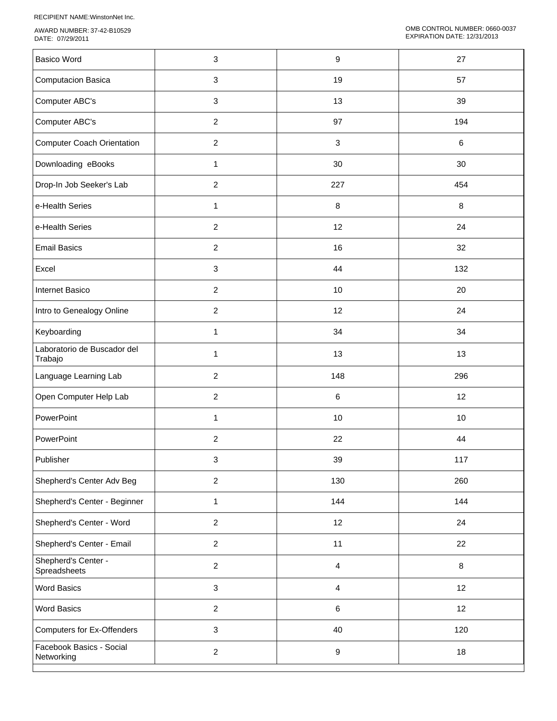RECIPIENT NAME:WinstonNet Inc.

AWARD NUMBER: 37-42-B10529 DATE: 07/29/2011

| <b>Basico Word</b>                     | 3              | 9                         | 27  |
|----------------------------------------|----------------|---------------------------|-----|
| <b>Computacion Basica</b>              | $\mathbf{3}$   | 19                        | 57  |
| Computer ABC's                         | $\mathbf{3}$   | 13                        | 39  |
| Computer ABC's                         | $\overline{2}$ | 97                        | 194 |
| <b>Computer Coach Orientation</b>      | $\overline{2}$ | $\ensuremath{\mathsf{3}}$ | 6   |
| Downloading eBooks                     | 1              | 30                        | 30  |
| Drop-In Job Seeker's Lab               | $\overline{2}$ | 227                       | 454 |
| e-Health Series                        | 1              | 8                         | 8   |
| e-Health Series                        | $\overline{2}$ | 12                        | 24  |
| <b>Email Basics</b>                    | $\overline{c}$ | 16                        | 32  |
| Excel                                  | $\mathbf{3}$   | 44                        | 132 |
| Internet Basico                        | $\overline{2}$ | 10                        | 20  |
| Intro to Genealogy Online              | $\overline{c}$ | 12                        | 24  |
| Keyboarding                            | $\mathbf{1}$   | 34                        | 34  |
| Laboratorio de Buscador del<br>Trabajo | 1              | 13                        | 13  |
| Language Learning Lab                  | $\overline{c}$ | 148                       | 296 |
| Open Computer Help Lab                 | $\overline{2}$ | 6                         | 12  |
| PowerPoint                             | 1              | $10$                      | 10  |
| PowerPoint                             | $\overline{c}$ | 22                        | 44  |
| Publisher                              | $\mathbf{3}$   | 39                        | 117 |
| Shepherd's Center Adv Beg              | $\overline{a}$ | 130                       | 260 |
| Shepherd's Center - Beginner           | $\mathbf{1}$   | 144                       | 144 |
| Shepherd's Center - Word               | $\overline{2}$ | 12                        | 24  |
| Shepherd's Center - Email              | $\overline{a}$ | 11                        | 22  |
| Shepherd's Center -<br>Spreadsheets    | $\overline{2}$ | 4                         | 8   |
| <b>Word Basics</b>                     | $\mathbf{3}$   | 4                         | 12  |
| <b>Word Basics</b>                     | $\overline{2}$ | 6                         | 12  |
| <b>Computers for Ex-Offenders</b>      | $\mathbf{3}$   | 40                        | 120 |
| Facebook Basics - Social<br>Networking | $\overline{a}$ | $\boldsymbol{9}$          | 18  |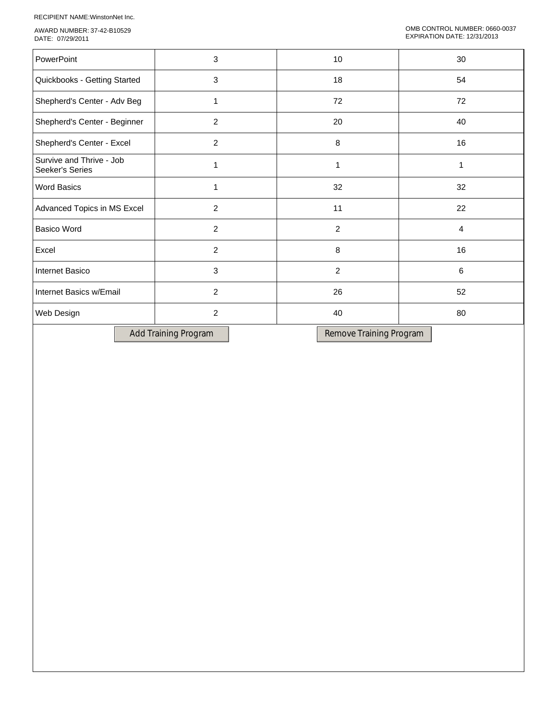RECIPIENT NAME:WinstonNet Inc.

AWARD NUMBER: 37-42-B10529 DATE: 07/29/2011

| PowerPoint                                  | 3              | 10             | 30 |
|---------------------------------------------|----------------|----------------|----|
| Quickbooks - Getting Started                | 3              | 18             | 54 |
| Shepherd's Center - Adv Beg                 | $\mathbf{1}$   | 72             | 72 |
| Shepherd's Center - Beginner                | $\overline{2}$ | 20             | 40 |
| Shepherd's Center - Excel                   | $\overline{2}$ | 8              | 16 |
| Survive and Thrive - Job<br>Seeker's Series | 1              | 1              | 1  |
| <b>Word Basics</b>                          | 1              | 32             | 32 |
| Advanced Topics in MS Excel                 | 2              | 11             | 22 |
| <b>Basico Word</b>                          | $\overline{2}$ | $\overline{2}$ | 4  |
| Excel                                       | $\overline{2}$ | 8              | 16 |
| Internet Basico                             | 3              | $\overline{2}$ | 6  |
| Internet Basics w/Email                     | $\overline{2}$ | 26             | 52 |
| Web Design                                  | $\overline{2}$ | 40             | 80 |
|                                             |                |                |    |

Add Training Program Remove Training Program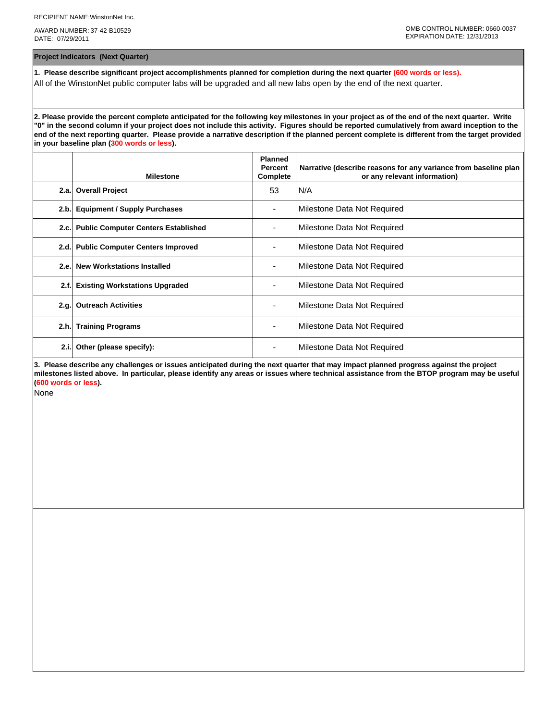AWARD NUMBER: 37-42-B10529 DATE: 07/29/2011

**Project Indicators (Next Quarter)**

**1. Please describe significant project accomplishments planned for completion during the next quarter (600 words or less).** All of the WinstonNet public computer labs will be upgraded and all new labs open by the end of the next quarter.

**2. Please provide the percent complete anticipated for the following key milestones in your project as of the end of the next quarter. Write "0" in the second column if your project does not include this activity. Figures should be reported cumulatively from award inception to the end of the next reporting quarter. Please provide a narrative description if the planned percent complete is different from the target provided in your baseline plan (300 words or less).**

|      | <b>Milestone</b>                         | <b>Planned</b><br>Percent<br>Complete | Narrative (describe reasons for any variance from baseline plan<br>or any relevant information) |
|------|------------------------------------------|---------------------------------------|-------------------------------------------------------------------------------------------------|
| 2.a. | <b>Overall Project</b>                   | 53                                    | N/A                                                                                             |
| 2.b. | <b>Equipment / Supply Purchases</b>      |                                       | Milestone Data Not Required                                                                     |
|      | 2.c. Public Computer Centers Established |                                       | Milestone Data Not Required                                                                     |
|      | 2.d. Public Computer Centers Improved    |                                       | Milestone Data Not Required                                                                     |
|      | 2.e. New Workstations Installed          |                                       | Milestone Data Not Required                                                                     |
| 2.f. | <b>Existing Workstations Upgraded</b>    |                                       | Milestone Data Not Required                                                                     |
| 2.q. | <b>Outreach Activities</b>               |                                       | Milestone Data Not Required                                                                     |
| 2.h. | <b>Training Programs</b>                 | ٠                                     | Milestone Data Not Required                                                                     |
| 2.i. | Other (please specify):                  |                                       | Milestone Data Not Required                                                                     |

**3. Please describe any challenges or issues anticipated during the next quarter that may impact planned progress against the project milestones listed above. In particular, please identify any areas or issues where technical assistance from the BTOP program may be useful (600 words or less).**

None